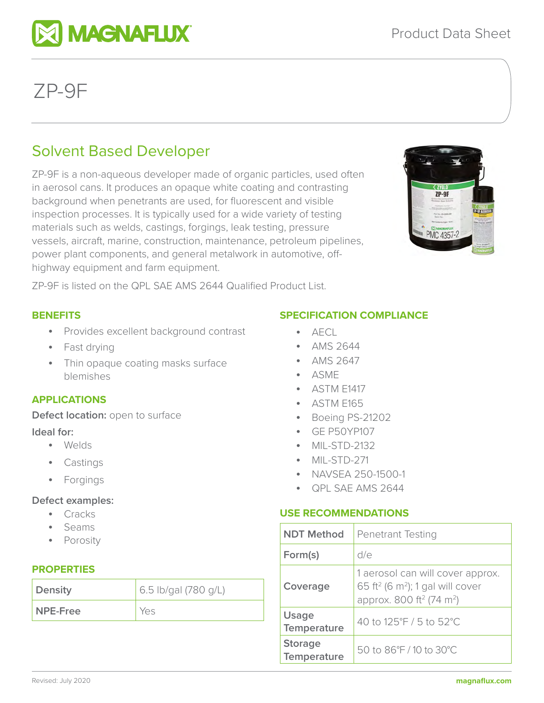# Solvent Based Developer

**EX MAGNAFLUX** 

ZP-9F is a non-aqueous developer made of organic particles, used often in aerosol cans. It produces an opaque white coating and contrasting background when penetrants are used, for fluorescent and visible inspection processes. It is typically used for a wide variety of testing materials such as welds, castings, forgings, leak testing, pressure vessels, aircraft, marine, construction, maintenance, petroleum pipelines, power plant components, and general metalwork in automotive, offhighway equipment and farm equipment.



ZP-9F is listed on the QPL SAE AMS 2644 Qualified Product List.

## **BENEFITS**

- Provides excellent background contrast
- Fast drying
- Thin opaque coating masks surface blemishes

# **APPLICATIONS**

**Defect location:** open to surface

## **Ideal for:**

- Welds
- **Castings**
- Forgings

## **Defect examples:**

- Cracks
- Seams
- **Porosity**

# **PROPERTIES**

| Density         | 6.5 lb/gal (780 g/L) |
|-----------------|----------------------|
| NPE-Free<br>Yes |                      |

## **SPECIFICATION COMPLIANCE**

- $\overline{AFC}$
- AMS 2644
- AMS 2647
- ASME
- ASTM E1417
- ASTM E165
- Boeing PS-21202
- GE P50YP107
- MIL-STD-2132
- MIL-STD-271
- NAVSEA 250-1500-1
- QPL SAE AMS 2644

# **USE RECOMMENDATIONS**

| <b>NDT Method</b>             | <b>Penetrant Testing</b>                                                                                                                         |
|-------------------------------|--------------------------------------------------------------------------------------------------------------------------------------------------|
| Form(s)                       | d/e                                                                                                                                              |
| Coverage                      | 1 aerosol can will cover approx.<br>65 ft <sup>2</sup> (6 m <sup>2</sup> ); 1 gal will cover<br>approx. 800 ft <sup>2</sup> (74 m <sup>2</sup> ) |
| Usage<br>Temperature          | 40 to 125°F / 5 to 52°C                                                                                                                          |
| <b>Storage</b><br>Temperature | 50 to 86°F / 10 to 30°C                                                                                                                          |